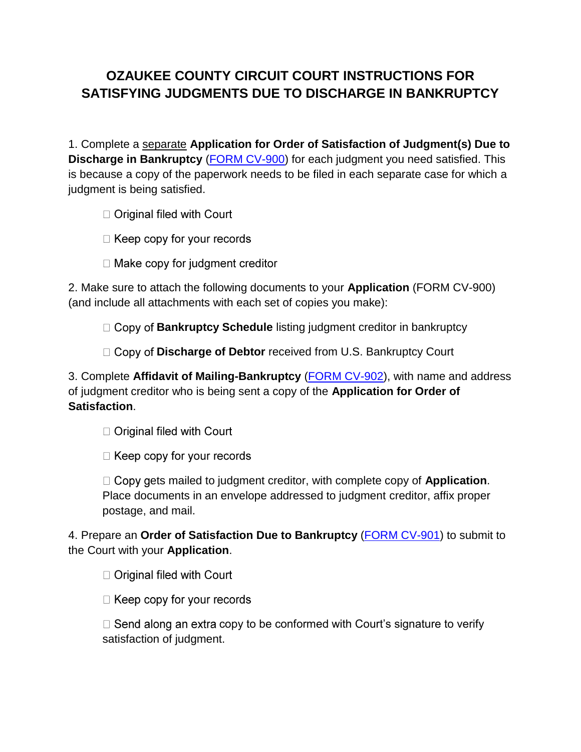## **OZAUKEE COUNTY CIRCUIT COURT INSTRUCTIONS FOR SATISFYING JUDGMENTS DUE TO DISCHARGE IN BANKRUPTCY**

1. Complete a separate **Application for Order of Satisfaction of Judgment(s) Due to Discharge in Bankruptcy** [\(FORM CV-900\)](http://www.wicourts.gov/formdisplay/CV-900.pdf?formNumber=CV-900&formType=Form&formatId=2&language=en) for each judgment you need satisfied. This is because a copy of the paperwork needs to be filed in each separate case for which a judgment is being satisfied.

□ Original filed with Court

 $\Box$  Keep copy for your records

 $\Box$  Make copy for judgment creditor

2. Make sure to attach the following documents to your **Application** (FORM CV-900) (and include all attachments with each set of copies you make):

**■ Copy of Bankruptcy Schedule** listing judgment creditor in bankruptcy

□ Copy of **Discharge of Debtor** received from U.S. Bankruptcy Court

3. Complete **Affidavit of Mailing-Bankruptcy** [\(FORM CV-902\)](http://www.wicourts.gov/formdisplay/CV-902.pdf?formNumber=CV-902&formType=Form&formatId=2&language=en), with name and address of judgment creditor who is being sent a copy of the **Application for Order of Satisfaction**.

 $\Box$  Original filed with Court

 $\Box$  Keep copy for your records

 $\Box$  Copy gets mailed to judgment creditor, with complete copy of **Application**. Place documents in an envelope addressed to judgment creditor, affix proper postage, and mail.

4. Prepare an **Order of Satisfaction Due to Bankruptcy** [\(FORM CV-901\)](http://www.wicourts.gov/formdisplay/CV-901.pdf?formNumber=CV-901&formType=Form&formatId=2&language=en) to submit to the Court with your **Application**.

 $\Box$  Original filed with Court

 $\Box$  Keep copy for your records

 $\Box$  Send along an extra copy to be conformed with Court's signature to verify satisfaction of judgment.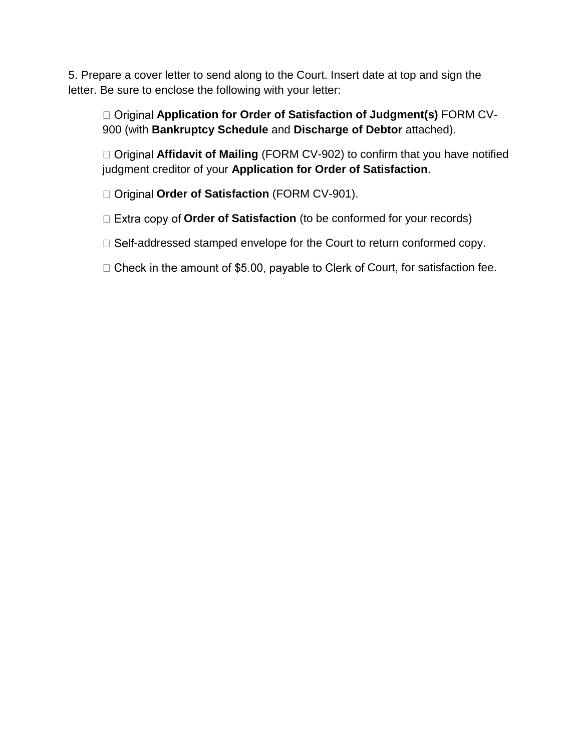5. Prepare a cover letter to send along to the Court. Insert date at top and sign the letter. Be sure to enclose the following with your letter:

□ Original Application for Order of Satisfaction of Judgment(s) FORM CV-900 (with **Bankruptcy Schedule** and **Discharge of Debtor** attached).

□ Original **Affidavit of Mailing** (FORM CV-902) to confirm that you have notified judgment creditor of your **Application for Order of Satisfaction**.

□ Original Order of Satisfaction (FORM CV-901).

- □ Extra copy of **Order of Satisfaction** (to be conformed for your records)
- $\Box$  Self-addressed stamped envelope for the Court to return conformed copy.
- $\Box$  Check in the amount of \$5.00, payable to Clerk of Court, for satisfaction fee.